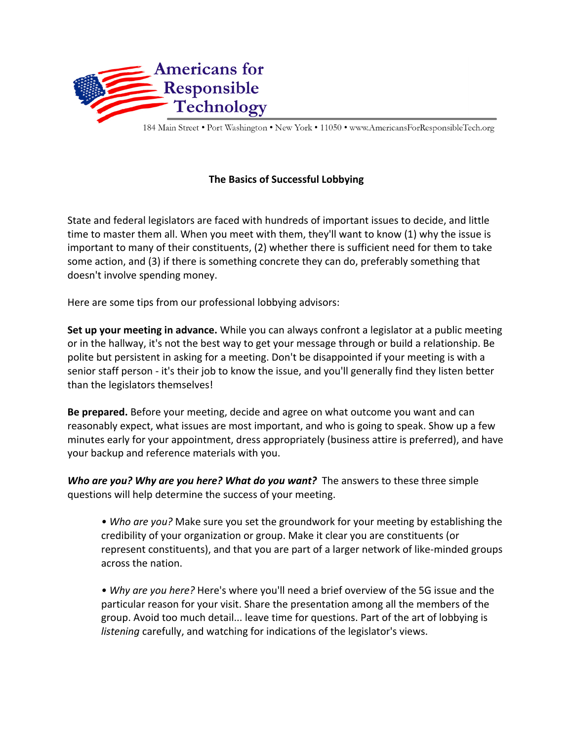

184 Main Street . Port Washington . New York . 11050 . www.AmericansForResponsibleTech.org

## **The Basics of Successful Lobbying**

State and federal legislators are faced with hundreds of important issues to decide, and little time to master them all. When you meet with them, they'll want to know (1) why the issue is important to many of their constituents, (2) whether there is sufficient need for them to take some action, and (3) if there is something concrete they can do, preferably something that doesn't involve spending money.

Here are some tips from our professional lobbying advisors:

**Set up your meeting in advance.** While you can always confront a legislator at a public meeting or in the hallway, it's not the best way to get your message through or build a relationship. Be polite but persistent in asking for a meeting. Don't be disappointed if your meeting is with a senior staff person - it's their job to know the issue, and you'll generally find they listen better than the legislators themselves!

**Be prepared.** Before your meeting, decide and agree on what outcome you want and can reasonably expect, what issues are most important, and who is going to speak. Show up a few minutes early for your appointment, dress appropriately (business attire is preferred), and have your backup and reference materials with you.

**Who are you? Why are you here? What do you want?** The answers to these three simple questions will help determine the success of your meeting.

• Who are you? Make sure you set the groundwork for your meeting by establishing the credibility of your organization or group. Make it clear you are constituents (or represent constituents), and that you are part of a larger network of like-minded groups across the nation.

• Why are you here? Here's where you'll need a brief overview of the 5G issue and the particular reason for your visit. Share the presentation among all the members of the group. Avoid too much detail... leave time for questions. Part of the art of lobbying is *listening* carefully, and watching for indications of the legislator's views.